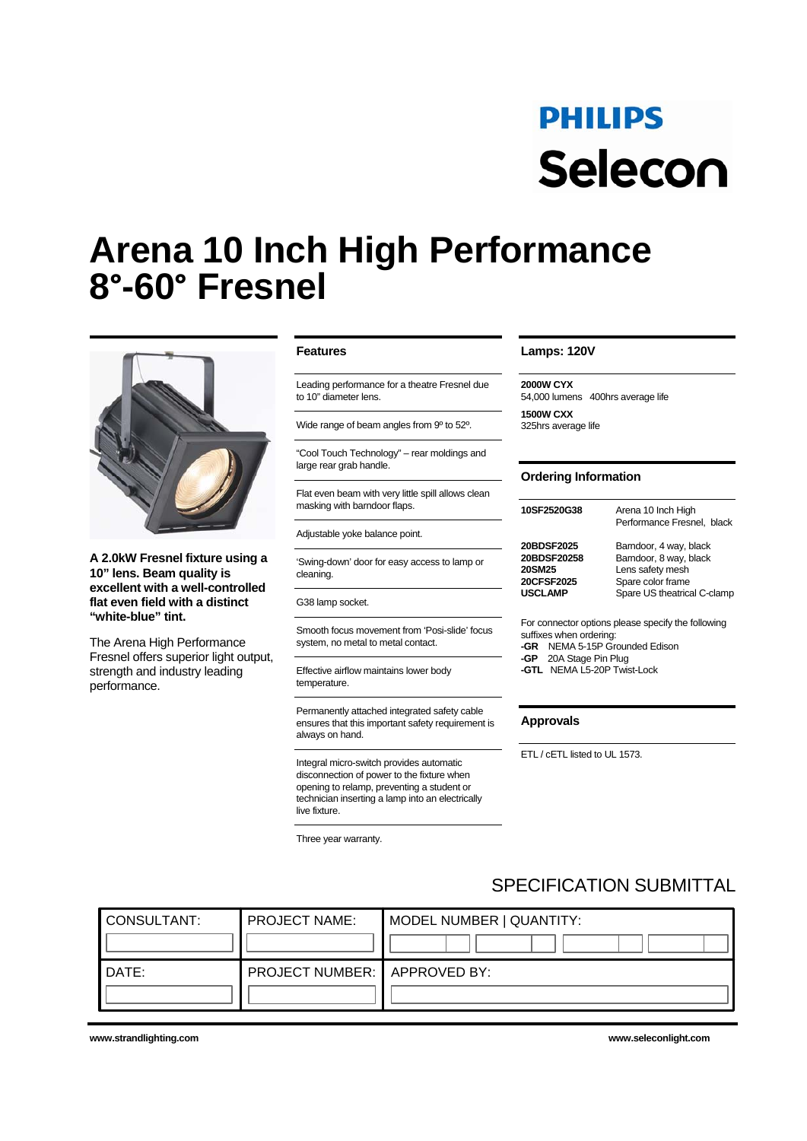# **PHILIPS** Selecon

# **Arena 10 Inch High Performance 8°-60° Fresnel**



**A 2.0kW Fresnel fixture using a 10" lens. Beam quality is excellent with a well-controlled flat even field with a distinct "white-blue" tint.** 

The Arena High Performance Fresnel offers superior light output, strength and industry leading performance.

## **Features**

Leading performance for a theatre Fresnel due to 10" diameter lens.

Wide range of beam angles from 9º to 52º.

"Cool Touch Technology" – rear moldings and large rear grab handle.

Flat even beam with very little spill allows clean masking with barndoor flaps.

Adjustable yoke balance point.

'Swing-down' door for easy access to lamp or cleaning.

G38 lamp socket.

Smooth focus movement from 'Posi-slide' focus system, no metal to metal contact.

Effective airflow maintains lower body temperature.

Permanently attached integrated safety cable ensures that this important safety requirement is always on hand.

Integral micro-switch provides automatic disconnection of power to the fixture when opening to relamp, preventing a student or technician inserting a lamp into an electrically live fixture.

Three year warranty.

### **Lamps: 120V**

**2000W CYX** 54,000 lumens 400hrs average life **1500W CXX**  325hrs average life

# **Ordering Information**

| 10SF2520G38    | Arena 10 Inch High<br>Performance Fresnel, black |
|----------------|--------------------------------------------------|
| 20BDSF2025     | Barndoor, 4 way, black                           |
| 20BDSF20258    | Barndoor, 8 way, black                           |
| <b>20SM25</b>  | Lens safety mesh                                 |
| 20CFSF2025     | Spare color frame                                |
| <b>USCLAMP</b> | Spare US theatrical C-clamp                      |

For connector options please specify the following suffixes when ordering: **-GR** NEMA 5-15P Grounded Edison **-GP** 20A Stage Pin Plug **-GTL** NEMA L5-20P Twist-Lock

#### **Approvals**

ETL / cETL listed to UL 1573.

# SPECIFICATION SUBMITTAL

| CONSULTANT: | <b>PROJECT NAME:</b>         | MODEL NUMBER   QUANTITY: |  |  |  |  |  |
|-------------|------------------------------|--------------------------|--|--|--|--|--|
|             |                              |                          |  |  |  |  |  |
| `DATE:      | PROJECT NUMBER: APPROVED BY: |                          |  |  |  |  |  |
|             |                              |                          |  |  |  |  |  |

**www.strandlighting.com www.seleconlight.com**